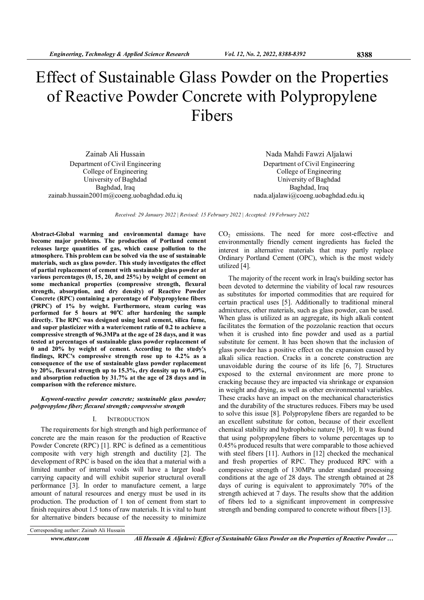# Effect of Sustainable Glass Powder on the Properties of Reactive Powder Concrete with Polypropylene Fibers

Zainab Ali Hussain Department of Civil Engineering College of Engineering University of Baghdad Baghdad, Iraq zainab.hussain2001m@coeng.uobaghdad.edu.iq

Nada Mahdi Fawzi Aljalawi Department of Civil Engineering College of Engineering University of Baghdad Baghdad, Iraq nada.aljalawi@coeng.uobaghdad.edu.iq

Received: 29 January 2022 | Revised: 15 February 2022 | Accepted: 19 February 2022

Abstract-Global warming and environmental damage have become major problems. The production of Portland cement releases large quantities of gas, which cause pollution to the atmosphere. This problem can be solved via the use of sustainable materials, such as glass powder. This study investigates the effect of partial replacement of cement with sustainable glass powder at various percentages (0, 15, 20, and 25%) by weight of cement on some mechanical properties (compressive strength, flexural strength, absorption, and dry density) of Reactive Powder Concrete (RPC) containing a percentage of Polypropylene fibers (PRPC) of 1% by weight. Furthermore, steam curing was performed for 5 hours at  $90^{\circ}$ C after hardening the sample directly. The RPC was designed using local cement, silica fume, and super plasticizer with a water/cement ratio of 0.2 to achieve a compressive strength of 96.3MPa at the age of 28 days, and it was tested at percentages of sustainable glass powder replacement of 0 and 20% by weight of cement. According to the study's findings, RPC's compressive strength rose up to 4.2% as a consequence of the use of sustainable glass powder replacement by 20%, flexural strength up to 15.3%, dry density up to 0.49%, and absorption reduction by 31.7% at the age of 28 days and in comparison with the reference mixture.

#### Keyword-reactive powder concrete; sustainable glass powder; polypropylene fiber; flexural strength; compressive strength

#### I. INTRODUCTION

The requirements for high strength and high performance of concrete are the main reason for the production of Reactive Powder Concrete (RPC) [1]. RPC is defined as a cementitious composite with very high strength and ductility [2]. The development of RPC is based on the idea that a material with a limited number of internal voids will have a larger loadcarrying capacity and will exhibit superior structural overall performance [3]. In order to manufacture cement, a large amount of natural resources and energy must be used in its production. The production of 1 ton of cement from start to finish requires about 1.5 tons of raw materials. It is vital to hunt for alternative binders because of the necessity to minimize

 $CO<sub>2</sub>$  emissions. The need for more cost-effective and environmentally friendly cement ingredients has fueled the interest in alternative materials that may partly replace Ordinary Portland Cement (OPC), which is the most widely utilized [4].

The majority of the recent work in Iraq's building sector has been devoted to determine the viability of local raw resources as substitutes for imported commodities that are required for certain practical uses [5]. Additionally to traditional mineral admixtures, other materials, such as glass powder, can be used. When glass is utilized as an aggregate, its high alkali content facilitates the formation of the pozzolanic reaction that occurs when it is crushed into fine powder and used as a partial substitute for cement. It has been shown that the inclusion of glass powder has a positive effect on the expansion caused by alkali silica reaction. Cracks in a concrete construction are unavoidable during the course of its life [6, 7]. Structures exposed to the external environment are more prone to cracking because they are impacted via shrinkage or expansion in weight and drying, as well as other environmental variables. These cracks have an impact on the mechanical characteristics and the durability of the structures reduces. Fibers may be used to solve this issue [8]. Polypropylene fibers are regarded to be an excellent substitute for cotton, because of their excellent chemical stability and hydrophobic nature [9, 10]. It was found that using polypropylene fibers to volume percentages up to 0.45% produced results that were comparable to those achieved with steel fibers [11]. Authors in [12] checked the mechanical and fresh properties of RPC. They produced RPC with a compressive strength of 130MPa under standard processing conditions at the age of 28 days. The strength obtained at 28 days of curing is equivalent to approximately 70% of the strength achieved at 7 days. The results show that the addition of fibers led to a significant improvement in compressive strength and bending compared to concrete without fibers [13].

Corresponding author: Zainab Ali Hussain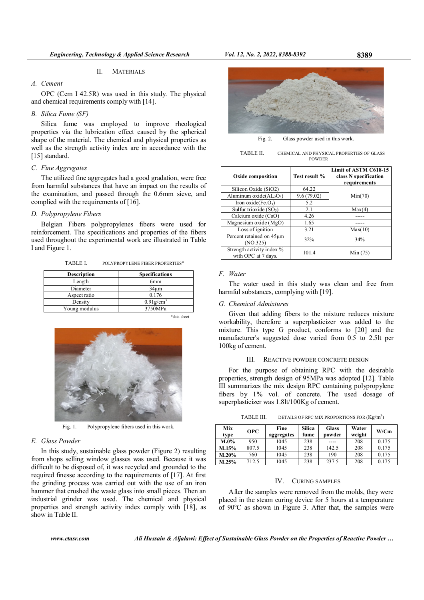## II. MATERIALS

# A. Cement

OPC (Cem I 42.5R) was used in this study. The physical and chemical requirements comply with [14].

# B. Silica Fume (SF)

Silica fume was employed to improve rheological properties via the lubrication effect caused by the spherical shape of the material. The chemical and physical properties as well as the strength activity index are in accordance with the [15] standard.

## C. Fine Aggregates

The utilized fine aggregates had a good gradation, were free from harmful substances that have an impact on the results of the examination, and passed through the 0.6mm sieve, and complied with the requirements of [16].

# D. Polypropylene Fibers

Belgian Fibers polypropylenes fibers were used for reinforcement. The specifications and properties of the fibers used throughout the experimental work are illustrated in Table I and Figure 1.

TABLE I. POLYPROPYLENE FIBER PROPERTIES\*

| <b>Description</b> | <b>Specifications</b>    |  |  |
|--------------------|--------------------------|--|--|
| Length             | 6 <sub>mm</sub>          |  |  |
| Diameter           | 34 <sub>um</sub>         |  |  |
| Aspect ratio       | 0.176                    |  |  |
| Density            | $0.91$ g/cm <sup>3</sup> |  |  |
| Young modulus      | 3750MPa                  |  |  |

\*data sheet



Fig. 1. Polypropylene fibers used in this work.

## E. Glass Powder

In this study, sustainable glass powder (Figure 2) resulting from shops selling window glasses was used. Because it was difficult to be disposed of, it was recycled and grounded to the required finesse according to the requirements of [17]. At first the grinding process was carried out with the use of an iron hammer that crushed the waste glass into small pieces. Then an industrial grinder was used. The chemical and physical properties and strength activity index comply with [18], as show in Table II.



Fig. 2. Glass powder used in this work.

TABLE II. CHEMICAL AND PHYSICAL PROPERTIES OF GLASS POWDER

| <b>Oxide composition</b>                         | Test result % | Limit of ASTM C618-15<br>class N specification<br>requirements |  |
|--------------------------------------------------|---------------|----------------------------------------------------------------|--|
| Silicon Oxide (SiO2)                             | 64.22         |                                                                |  |
| Aluminum oxide $(AL_2O_3)$                       | 9.6(79.02)    | Min(70)                                                        |  |
| Iron oxide(Fe <sub>2</sub> O <sub>3</sub> )      | 5.2           |                                                                |  |
| Sulfur trioxide $(SO3)$                          | 2.1           | Max(4)                                                         |  |
| Calcium oxide (CaO)                              | 4.26          |                                                                |  |
| Magnesium oxide (MgO)                            | 1.65          |                                                                |  |
| Loss of ignition                                 | 3.21          | Max(10)                                                        |  |
| Percent retained on 45um<br>(NO.325)             | 32%           | 34%                                                            |  |
| Strength activity index %<br>with OPC at 7 days. | 101.4         | Min(75)                                                        |  |

#### F. Water

The water used in this study was clean and free from harmful substances, complying with [19].

# G. Chemical Admixtures

Given that adding fibers to the mixture reduces mixture workability, therefore a superplasticizer was added to the mixture. This type G product, conforms to [20] and the manufacturer's suggested dose varied from 0.5 to 2.5lt per 100kg of cement.

#### III. REACTIVE POWDER CONCRETE DESIGN

For the purpose of obtaining RPC with the desirable properties, strength design of 95MPa was adopted [12]. Table III summarizes the mix design RPC containing polypropylene fibers by 1% vol. of concrete. The used dosage of superplasticizer was 1.8lt/100Kg of cement.

TABLE III. DETAILS OF RPC MIX PROPORTIONS FOR  $(\text{Kg/m}^3)$ 

| Mix<br>type | <b>OPC</b> | Fine<br>aggregates | <b>Silica</b><br>fume | <b>Glass</b><br>powder | Water<br>weight | W/Cm  |
|-------------|------------|--------------------|-----------------------|------------------------|-----------------|-------|
| M.0%        | 950        | 1045               | 238                   |                        | 208             | 0.175 |
| M.15%       | 807.5      | 1045               | 238                   | 142.5                  | 208             | 0.175 |
| $M.20\%$    | 760        | 1045               | 238                   | 190                    | 208             | 0.175 |
| M.25%       | 712.5      | 1045               | 238                   | 237.5                  | 208             | 0.175 |

#### IV. CURING SAMPLES

After the samples were removed from the molds, they were placed in the steam curing device for 5 hours at a temperature of  $90^{\circ}$ C as shown in Figure 3. After that, the samples were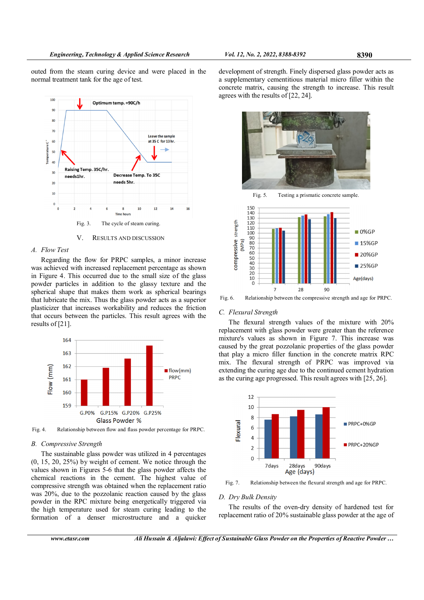outed from the steam curing device and were placed in the normal treatment tank for the age of test.



# A. Flow Test

Regarding the flow for PRPC samples, a minor increase was achieved with increased replacement percentage as shown in Figure 4. This occurred due to the small size of the glass powder particles in addition to the glassy texture and the spherical shape that makes them work as spherical bearings that lubricate the mix. Thus the glass powder acts as a superior plasticizer that increases workability and reduces the friction that occurs between the particles. This result agrees with the results of [21].



Fig. 4. Relationship between flow and flass powder percentage for PRPC.

#### B. Compressive Strength

The sustainable glass powder was utilized in 4 percentages (0, 15, 20, 25%) by weight of cement. We notice through the values shown in Figures 5-6 that the glass powder affects the chemical reactions in the cement. The highest value of compressive strength was obtained when the replacement ratio was 20%, due to the pozzolanic reaction caused by the glass powder in the RPC mixture being energetically triggered via the high temperature used for steam curing leading to the formation of a denser microstructure and a quicker

development of strength. Finely dispersed glass powder acts as a supplementary cementitious material micro filler within the concrete matrix, causing the strength to increase. This result agrees with the results of [22, 24].





Fig. 6. Relationship between the compressive strength and age for PRPC.

# C. Flexural Strength

The flexural strength values of the mixture with 20% replacement with glass powder were greater than the reference mixture's values as shown in Figure 7. This increase was caused by the great pozzolanic properties of the glass powder that play a micro filler function in the concrete matrix RPC mix. The flexural strength of PRPC was improved via extending the curing age due to the continued cement hydration as the curing age progressed. This result agrees with [25, 26].



Fig. 7. Relationship between the flexural strength and age for PRPC.

#### D. Dry Bulk Density

The results of the oven-dry density of hardened test for replacement ratio of 20% sustainable glass powder at the age of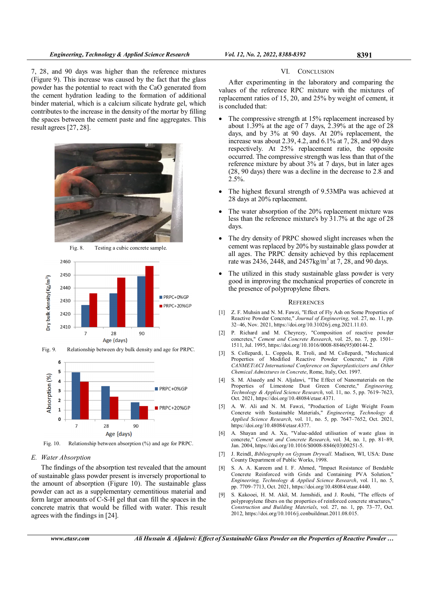7, 28, and 90 days was higher than the reference mixtures (Figure 9). This increase was caused by the fact that the glass powder has the potential to react with the CaO generated from the cement hydration leading to the formation of additional binder material, which is a calcium silicate hydrate gel, which contributes to the increase in the density of the mortar by filling the spaces between the cement paste and fine aggregates. This result agrees [27, 28].









Fig. 10. Relationship between absorption (%) and age for PRPC.

# E. Water Absorption

The findings of the absorption test revealed that the amount of sustainable glass powder present is inversely proportional to the amount of absorption (Figure 10). The sustainable glass powder can act as a supplementary cementitious material and form larger amounts of C-S-H gel that can fill the spaces in the concrete matrix that would be filled with water. This result agrees with the findings in [24].

#### VI. CONCLUSION

After experimenting in the laboratory and comparing the values of the reference RPC mixture with the mixtures of replacement ratios of 15, 20, and 25% by weight of cement, it is concluded that:

- The compressive strength at 15% replacement increased by about 1.39% at the age of 7 days,  $2.39%$  at the age of 28 days, and by 3% at 90 days. At 20% replacement, the increase was about 2.39, 4.2, and 6.1% at 7, 28, and 90 days respectively. At 25% replacement ratio, the opposite occurred. The compressive strength was less than that of the reference mixture by about 3% at 7 days, but in later ages (28, 90 days) there was a decline in the decrease to 2.8 and 2.5%.
- The highest flexural strength of 9.53MPa was achieved at 28 days at 20% replacement.
- The water absorption of the 20% replacement mixture was less than the reference mixture's by 31.7% at the age of 28 days.
- The dry density of PRPC showed slight increases when the cement was replaced by 20% by sustainable glass powder at all ages. The PRPC density achieved by this replacement rate was 2436, 2448, and  $2457 \text{kg/m}^3$  at 7, 28, and 90 days.
- The utilized in this study sustainable glass powder is very good in improving the mechanical properties of concrete in the presence of polypropylene fibers.

#### **REFERENCES**

- [1] Z. F. Muhsin and N. M. Fawzi, "Effect of Fly Ash on Some Properties of Reactive Powder Concrete," Journal of Engineering, vol. 27, no. 11, pp. 32–46, Nov. 2021, https://doi.org/10.31026/j.eng.2021.11.03.
- [2] P. Richard and M. Cheyrezy, "Composition of reactive powder concretes," Cement and Concrete Research, vol. 25, no. 7, pp. 1501– 1511, Jul. 1995, https://doi.org/10.1016/0008-8846(95)00144-2.
- [3] S. Collepardi, L. Coppola, R. Troli, and M. Collepardi, "Mechanical Properties of Modified Reactive Powder Concrete," in Fifth CANMET/ACI International Conference on Superplasticizers and Other Chemical Admixtures in Concrete, Rome, Italy, Oct. 1997.
- S. M. Alsaedy and N. Aljalawi, "The Effect of Nanomaterials on the Properties of Limestone Dust Green Concrete," Engineering, Technology & Applied Science Research, vol. 11, no. 5, pp. 7619–7623, Oct. 2021, https://doi.org/10.48084/etasr.4371.
- [5] A. W. Ali and N. M. Fawzi, "Production of Light Weight Foam Concrete with Sustainable Materials," Engineering, Technology & Applied Science Research, vol. 11, no. 5, pp. 7647–7652, Oct. 2021, https://doi.org/10.48084/etasr.4377.
- [6] A. Shayan and A. Xu, "Value-added utilisation of waste glass in concrete," Cement and Concrete Research, vol. 34, no. 1, pp. 81–89, Jan. 2004, https://doi.org/10.1016/S0008-8846(03)00251-5.
- [7] J. Reindl, Bibliography on Gypsum Drywall. Madison, WI, USA: Dane County Department of Public Works, 1998.
- [8] S. A. A. Kareem and I. F. Ahmed, "Impact Resistance of Bendable Concrete Reinforced with Grids and Containing PVA Solution," Engineering, Technology & Applied Science Research, vol. 11, no. 5, pp. 7709–7713, Oct. 2021, https://doi.org/10.48084/etasr.4440.
- [9] S. Kakooei, H. M. Akil, M. Jamshidi, and J. Rouhi, "The effects of polypropylene fibers on the properties of reinforced concrete structures," Construction and Building Materials, vol. 27, no. 1, pp. 73–77, Oct. 2012, https://doi.org/10.1016/j.conbuildmat.2011.08.015.